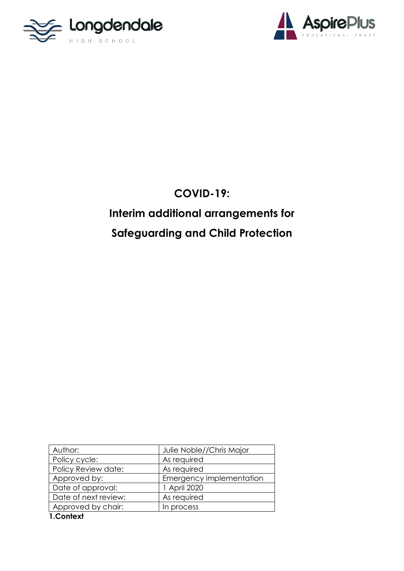



## **COVID-19:**

# **Interim additional arrangements for Safeguarding and Child Protection**

| Author:              | Julie Noble//Chris Major |
|----------------------|--------------------------|
| Policy cycle:        | As required              |
| Policy Review date:  | As required              |
| Approved by:         | Emergency implementation |
| Date of approval:    | 1 April 2020             |
| Date of next review: | As required              |
| Approved by chair:   | In process               |
| 1.Context            |                          |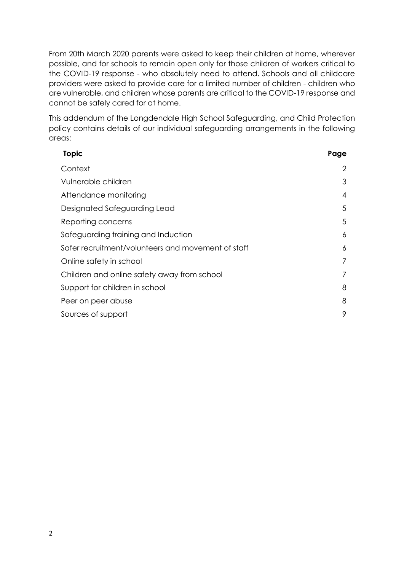From 20th March 2020 parents were asked to keep their children at home, wherever possible, and for schools to remain open only for those children of workers critical to the COVID-19 response - who absolutely need to attend. Schools and all childcare providers were asked to provide care for a limited number of children - children who are vulnerable, and children whose parents are critical to the COVID-19 response and cannot be safely cared for at home.

This addendum of the Longdendale High School Safeguarding, and Child Protection policy contains details of our individual safeguarding arrangements in the following areas:

| <b>Topic</b>                                       | Page           |
|----------------------------------------------------|----------------|
| Context                                            | $\overline{2}$ |
| Vulnerable children                                | 3              |
| Attendance monitoring                              | $\overline{4}$ |
| Designated Safeguarding Lead                       | 5              |
| Reporting concerns                                 | 5              |
| Safeguarding training and Induction                | 6              |
| Safer recruitment/volunteers and movement of staff | 6              |
| Online safety in school                            | 7              |
| Children and online safety away from school        | 7              |
| Support for children in school                     | 8              |
| Peer on peer abuse                                 | 8              |
| Sources of support                                 | 9              |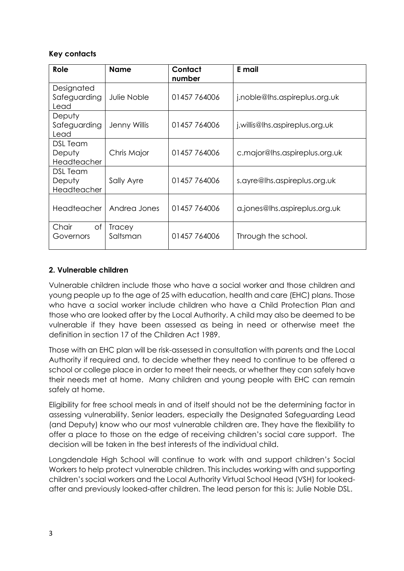#### **Key contacts**

| Role                                     | <b>Name</b>               | Contact<br>number | E mail                         |
|------------------------------------------|---------------------------|-------------------|--------------------------------|
| Designated<br>Safeguarding<br>Lead       | Julie Noble               | 01457 764006      | j.noble@lhs.aspireplus.org.uk  |
| Deputy<br>Safeguarding<br>Lead           | Jenny Willis              | 01457 764006      | j.willis@lhs.aspireplus.org.uk |
| DSL Team<br>Deputy<br><b>Headteacher</b> | Chris Major               | 01457 764006      | c.major@lhs.aspireplus.org.uk  |
| DSL Team<br>Deputy<br>Headteacher        | Sally Ayre                | 01457764006       | s.ayre@lhs.aspireplus.org.uk   |
| Headteacher                              | Andrea Jones              | 01457764006       | a.jones@lhs.aspireplus.org.uk  |
| Chair<br>Оf<br>Governors                 | <b>Tracey</b><br>Saltsman | 01457 764006      | Through the school.            |

#### **2. Vulnerable children**

Vulnerable children include those who have a social worker and those children and young people up to the age of 25 with education, health and care (EHC) plans. Those who have a social worker include children who have a Child Protection Plan and those who are looked after by the Local Authority. A child may also be deemed to be vulnerable if they have been assessed as being in need or otherwise meet the definition in section 17 of the Children Act 1989.

Those with an EHC plan will be risk-assessed in consultation with parents and the Local Authority if required and, to decide whether they need to continue to be offered a school or college place in order to meet their needs, or whether they can safely have their needs met at home. Many children and young people with EHC can remain safely at home.

Eligibility for free school meals in and of itself should not be the determining factor in assessing vulnerability. Senior leaders, especially the Designated Safeguarding Lead (and Deputy) know who our most vulnerable children are. They have the flexibility to offer a place to those on the edge of receiving children's social care support. The decision will be taken in the best interests of the individual child.

Longdendale High School will continue to work with and support children's Social Workers to help protect vulnerable children. This includes working with and supporting children's social workers and the Local Authority Virtual School Head (VSH) for lookedafter and previously looked-after children. The lead person for this is: Julie Noble DSL.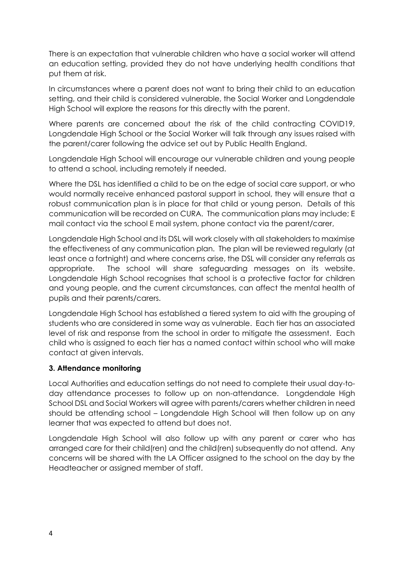There is an expectation that vulnerable children who have a social worker will attend an education setting, provided they do not have underlying health conditions that put them at risk.

In circumstances where a parent does not want to bring their child to an education setting, and their child is considered vulnerable, the Social Worker and Longdendale High School will explore the reasons for this directly with the parent.

Where parents are concerned about the risk of the child contracting COVID19, Longdendale High School or the Social Worker will talk through any issues raised with the parent/carer following the advice set out by Public Health England.

Longdendale High School will encourage our vulnerable children and young people to attend a school, including remotely if needed.

Where the DSL has identified a child to be on the edge of social care support, or who would normally receive enhanced pastoral support in school, they will ensure that a robust communication plan is in place for that child or young person. Details of this communication will be recorded on CURA. The communication plans may include; E mail contact via the school E mail system, phone contact via the parent/carer,

Longdendale High School and its DSL will work closely with all stakeholders to maximise the effectiveness of any communication plan. The plan will be reviewed regularly (at least once a fortnight) and where concerns arise, the DSL will consider any referrals as appropriate. The school will share safeguarding messages on its website. Longdendale High School recognises that school is a protective factor for children and young people, and the current circumstances, can affect the mental health of pupils and their parents/carers.

Longdendale High School has established a tiered system to aid with the grouping of students who are considered in some way as vulnerable. Each tier has an associated level of risk and response from the school in order to mitigate the assessment. Each child who is assigned to each tier has a named contact within school who will make contact at given intervals.

#### **3. Attendance monitoring**

Local Authorities and education settings do not need to complete their usual day-today attendance processes to follow up on non-attendance. Longdendale High School DSL and Social Workers will agree with parents/carers whether children in need should be attending school – Longdendale High School will then follow up on any learner that was expected to attend but does not.

Longdendale High School will also follow up with any parent or carer who has arranged care for their child(ren) and the child(ren) subsequently do not attend. Any concerns will be shared with the LA Officer assigned to the school on the day by the Headteacher or assigned member of staff.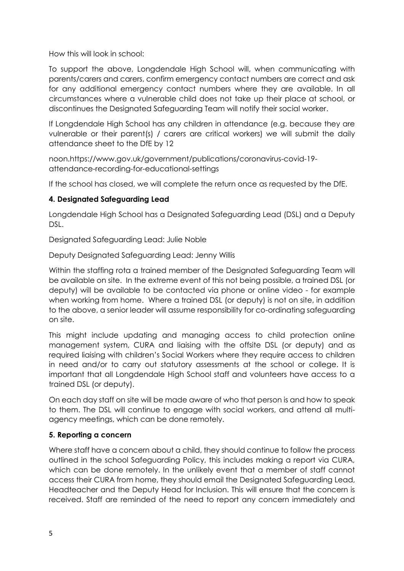How this will look in school:

To support the above, Longdendale High School will, when communicating with parents/carers and carers, confirm emergency contact numbers are correct and ask for any additional emergency contact numbers where they are available. In all circumstances where a vulnerable child does not take up their place at school, or discontinues the Designated Safeguarding Team will notify their social worker.

If Longdendale High School has any children in attendance (e.g. because they are vulnerable or their parent(s) / carers are critical workers) we will submit the daily attendance sheet to the DfE by 12

noon.https://www.gov.uk/government/publications/coronavirus-covid-19 attendance-recording-for-educational-settings

If the school has closed, we will complete the return once as requested by the DfE.

#### **4. Designated Safeguarding Lead**

Longdendale High School has a Designated Safeguarding Lead (DSL) and a Deputy DSL.

Designated Safeguarding Lead: Julie Noble

Deputy Designated Safeguarding Lead: Jenny Willis

Within the staffing rota a trained member of the Designated Safeguarding Team will be available on site. In the extreme event of this not being possible, a trained DSL (or deputy) will be available to be contacted via phone or online video - for example when working from home. Where a trained DSL (or deputy) is not on site, in addition to the above, a senior leader will assume responsibility for co-ordinating safeguarding on site.

This might include updating and managing access to child protection online management system, CURA and liaising with the offsite DSL (or deputy) and as required liaising with children's Social Workers where they require access to children in need and/or to carry out statutory assessments at the school or college. It is important that all Longdendale High School staff and volunteers have access to a trained DSL (or deputy).

On each day staff on site will be made aware of who that person is and how to speak to them. The DSL will continue to engage with social workers, and attend all multiagency meetings, which can be done remotely.

#### **5. Reporting a concern**

Where staff have a concern about a child, they should continue to follow the process outlined in the school Safeguarding Policy, this includes making a report via CURA, which can be done remotely. In the unlikely event that a member of staff cannot access their CURA from home, they should email the Designated Safeguarding Lead, Headteacher and the Deputy Head for Inclusion. This will ensure that the concern is received. Staff are reminded of the need to report any concern immediately and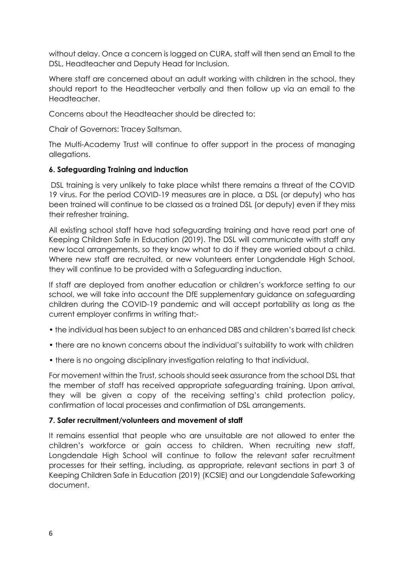without delay. Once a concern is logged on CURA, staff will then send an Email to the DSL, Headteacher and Deputy Head for Inclusion.

Where staff are concerned about an adult working with children in the school, they should report to the Headteacher verbally and then follow up via an email to the Headteacher.

Concerns about the Headteacher should be directed to:

Chair of Governors: Tracey Saltsman.

The Multi-Academy Trust will continue to offer support in the process of managing allegations.

#### **6. Safeguarding Training and induction**

DSL training is very unlikely to take place whilst there remains a threat of the COVID 19 virus. For the period COVID-19 measures are in place, a DSL (or deputy) who has been trained will continue to be classed as a trained DSL (or deputy) even if they miss their refresher training.

All existing school staff have had safeguarding training and have read part one of Keeping Children Safe in Education (2019). The DSL will communicate with staff any new local arrangements, so they know what to do if they are worried about a child. Where new staff are recruited, or new volunteers enter Longdendale High School, they will continue to be provided with a Safeguarding induction.

If staff are deployed from another education or children's workforce setting to our school, we will take into account the DfE supplementary guidance on safeguarding children during the COVID-19 pandemic and will accept portability as long as the current employer confirms in writing that:-

- the individual has been subject to an enhanced DBS and children's barred list check
- there are no known concerns about the individual's suitability to work with children
- there is no ongoing disciplinary investigation relating to that individual.

For movement within the Trust, schools should seek assurance from the school DSL that the member of staff has received appropriate safeguarding training. Upon arrival, they will be given a copy of the receiving setting's child protection policy, confirmation of local processes and confirmation of DSL arrangements.

#### **7. Safer recruitment/volunteers and movement of staff**

It remains essential that people who are unsuitable are not allowed to enter the children's workforce or gain access to children. When recruiting new staff, Longdendale High School will continue to follow the relevant safer recruitment processes for their setting, including, as appropriate, relevant sections in part 3 of Keeping Children Safe in Education (2019) (KCSIE) and our Longdendale Safeworking document.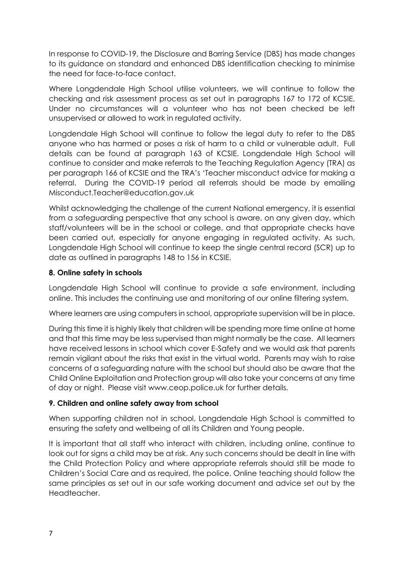In response to COVID-19, the Disclosure and Barring Service (DBS) has made changes to its guidance on standard and enhanced DBS identification checking to minimise the need for face-to-face contact.

Where Longdendale High School utilise volunteers, we will continue to follow the checking and risk assessment process as set out in paragraphs 167 to 172 of KCSIE. Under no circumstances will a volunteer who has not been checked be left unsupervised or allowed to work in regulated activity.

Longdendale High School will continue to follow the legal duty to refer to the DBS anyone who has harmed or poses a risk of harm to a child or vulnerable adult. Full details can be found at paragraph 163 of KCSIE. Longdendale High School will continue to consider and make referrals to the Teaching Regulation Agency (TRA) as per paragraph 166 of KCSIE and the TRA's 'Teacher misconduct advice for making a referral. During the COVID-19 period all referrals should be made by emailing Misconduct.Teacher@education.gov.uk

Whilst acknowledging the challenge of the current National emergency, it is essential from a safeguarding perspective that any school is aware, on any given day, which staff/volunteers will be in the school or college, and that appropriate checks have been carried out, especially for anyone engaging in regulated activity. As such, Longdendale High School will continue to keep the single central record (SCR) up to date as outlined in paragraphs 148 to 156 in KCSIE.

#### **8. Online safety in schools**

Longdendale High School will continue to provide a safe environment, including online. This includes the continuing use and monitoring of our online filtering system.

Where learners are using computers in school, appropriate supervision will be in place.

During this time it is highly likely that children will be spending more time online at home and that this time may be less supervised than might normally be the case. All learners have received lessons in school which cover E-Safety and we would ask that parents remain vigilant about the risks that exist in the virtual world. Parents may wish to raise concerns of a safeguarding nature with the school but should also be aware that the Child Online Exploitation and Protection group will also take your concerns at any time of day or night. Please visit www.ceop.police.uk for further details.

#### **9. Children and online safety away from school**

When supporting children not in school, Longdendale High School is committed to ensuring the safety and wellbeing of all its Children and Young people.

It is important that all staff who interact with children, including online, continue to look out for signs a child may be at risk. Any such concerns should be dealt in line with the Child Protection Policy and where appropriate referrals should still be made to Children's Social Care and as required, the police. Online teaching should follow the same principles as set out in our safe working document and advice set out by the Headteacher.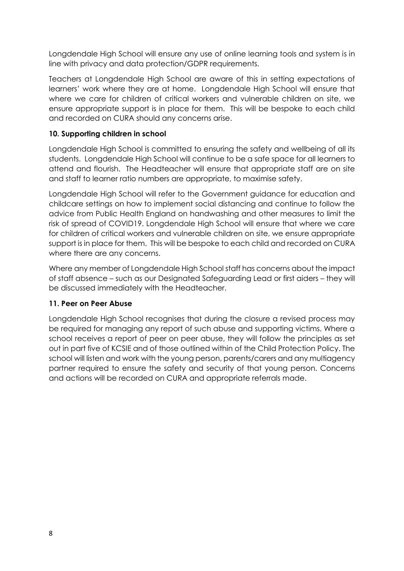Longdendale High School will ensure any use of online learning tools and system is in line with privacy and data protection/GDPR requirements.

Teachers at Longdendale High School are aware of this in setting expectations of learners' work where they are at home. Longdendale High School will ensure that where we care for children of critical workers and vulnerable children on site, we ensure appropriate support is in place for them. This will be bespoke to each child and recorded on CURA should any concerns arise.

#### **10. Supporting children in school**

Longdendale High School is committed to ensuring the safety and wellbeing of all its students. Longdendale High School will continue to be a safe space for all learners to attend and flourish. The Headteacher will ensure that appropriate staff are on site and staff to learner ratio numbers are appropriate, to maximise safety.

Longdendale High School will refer to the Government guidance for education and childcare settings on how to implement social distancing and continue to follow the advice from Public Health England on handwashing and other measures to limit the risk of spread of COVID19. Longdendale High School will ensure that where we care for children of critical workers and vulnerable children on site, we ensure appropriate support is in place for them. This will be bespoke to each child and recorded on CURA where there are any concerns.

Where any member of Longdendale High School staff has concerns about the impact of staff absence – such as our Designated Safeguarding Lead or first aiders – they will be discussed immediately with the Headteacher.

#### **11. Peer on Peer Abuse**

Longdendale High School recognises that during the closure a revised process may be required for managing any report of such abuse and supporting victims. Where a school receives a report of peer on peer abuse, they will follow the principles as set out in part five of KCSIE and of those outlined within of the Child Protection Policy. The school will listen and work with the young person, parents/carers and any multiagency partner required to ensure the safety and security of that young person. Concerns and actions will be recorded on CURA and appropriate referrals made.